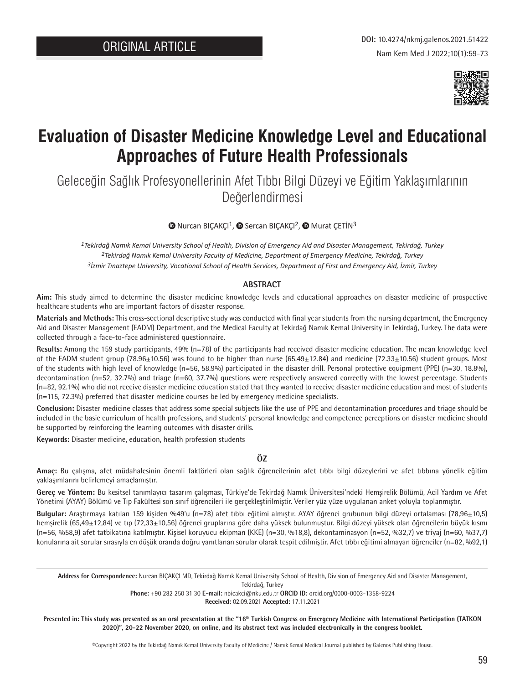

# **Evaluation of Disaster Medicine Knowledge Level and Educational Approaches of Future Health Professionals**

Geleceğin Sağlık Profesyonellerinin Afet Tıbbı Bilgi Düzeyi ve Eğitim Yaklaşımlarının Değerlendirmesi

## $\bullet$ Nurcan BICAKÇI<sup>1</sup>,  $\bullet$  Sercan BICAKÇI<sup>2</sup>,  $\bullet$  Murat CETIN<sup>3</sup>

*1Tekirdağ Namık Kemal University School of Health, Division of Emergency Aid and Disaster Management, Tekirdağ, Turkey 2Tekirdağ Namık Kemal University Faculty of Medicine, Department of Emergency Medicine, Tekirdağ, Turkey 3İzmir Tınaztepe University, Vocational School of Health Services, Department of First and Emergency Aid, İzmir, Turkey*

## **ABSTRACT**

**Aim:** This study aimed to determine the disaster medicine knowledge levels and educational approaches on disaster medicine of prospective healthcare students who are important factors of disaster response.

**Materials and Methods:** This cross-sectional descriptive study was conducted with final year students from the nursing department, the Emergency Aid and Disaster Management (EADM) Department, and the Medical Faculty at Tekirdağ Namık Kemal University in Tekirdağ, Turkey. The data were collected through a face-to-face administered questionnaire.

**Results:** Among the 159 study participants, 49% (n=78) of the participants had received disaster medicine education. The mean knowledge level of the EADM student group (78.96 $\pm$ 10.56) was found to be higher than nurse (65.49 $\pm$ 12.84) and medicine (72.33 $\pm$ 10.56) student groups. Most of the students with high level of knowledge (n=56, 58.9%) participated in the disaster drill. Personal protective equipment (PPE) (n=30, 18.8%), decontamination (n=52, 32.7%) and triage (n=60, 37.7%) questions were respectively answered correctly with the lowest percentage. Students (n=82, 92.1%) who did not receive disaster medicine education stated that they wanted to receive disaster medicine education and most of students (n=115, 72.3%) preferred that disaster medicine courses be led by emergency medicine specialists.

**Conclusion:** Disaster medicine classes that address some special subjects like the use of PPE and decontamination procedures and triage should be included in the basic curriculum of health professions, and students' personal knowledge and competence perceptions on disaster medicine should be supported by reinforcing the learning outcomes with disaster drills.

**Keywords:** Disaster medicine, education, health profession students

## **ÖZ**

**Amaç:** Bu çalışma, afet müdahalesinin önemli faktörleri olan sağlık öğrencilerinin afet tıbbı bilgi düzeylerini ve afet tıbbına yönelik eğitim yaklaşımlarını belirlemeyi amaçlamıştır.

**Gereç ve Yöntem:** Bu kesitsel tanımlayıcı tasarım çalışması, Türkiye'de Tekirdağ Namık Üniversitesi'ndeki Hemşirelik Bölümü, Acil Yardım ve Afet Yönetimi (AYAY) Bölümü ve Tıp Fakültesi son sınıf öğrencileri ile gerçekleştirilmiştir. Veriler yüz yüze uygulanan anket yoluyla toplanmıştır.

**Bulgular:** Araştırmaya katılan 159 kişiden %49'u (n=78) afet tıbbı eğitimi almıştır. AYAY öğrenci grubunun bilgi düzeyi ortalaması (78,96±10,5) hemşirelik (65,49±12,84) ve tıp (72,33±10,56) öğrenci gruplarına göre daha yüksek bulunmuştur. Bilgi düzeyi yüksek olan öğrencilerin büyük kısmı (n=56, %58,9) afet tatbikatına katılmıştır. Kişisel koruyucu ekipman (KKE) (n=30, %18,8), dekontaminasyon (n=52, %32,7) ve triyaj (n=60, %37,7) konularına ait sorular sırasıyla en düşük oranda doğru yanıtlanan sorular olarak tespit edilmiştir. Afet tıbbı eğitimi almayan öğrenciler (n=82, %92,1)

**Address for Correspondence:** Nurcan BIÇAKÇI MD, Tekirdağ Namık Kemal University School of Health, Division of Emergency Aid and Disaster Management,

Tekirdağ, Turkey

**Phone:** +90 282 250 31 30 **E-mail:** nbicakci@nku.edu.tr **ORCID ID:** orcid.org/0000-0003-1358-9224 **Received:** 02.09.2021 **Accepted:** 17.11.2021

Presented in: This study was presented as an oral presentation at the "16<sup>th</sup> Turkish Congress on Emergency Medicine with International Participation (TATKON **2020)", 20-22 November 2020, on online, and its abstract text was included electronically in the congress booklet.**

©Copyright 2022 by the Tekirdağ Namık Kemal University Faculty of Medicine / Namık Kemal Medical Journal published by Galenos Publishing House.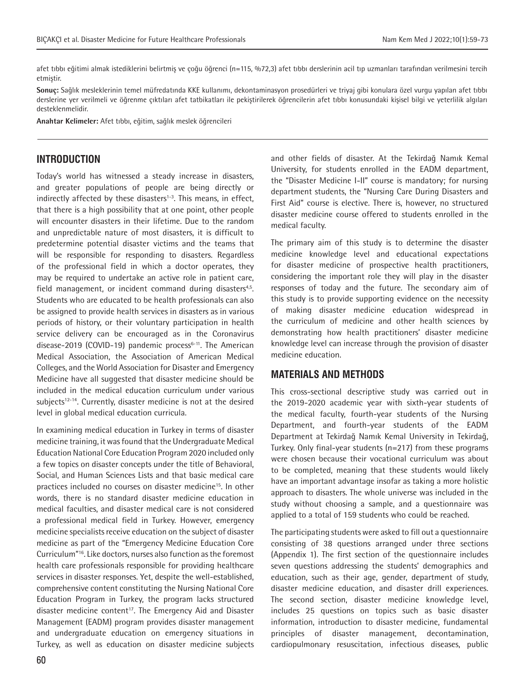afet tıbbı eğitimi almak istediklerini belirtmiş ve çoğu öğrenci (n=115, %72,3) afet tıbbı derslerinin acil tıp uzmanları tarafından verilmesini tercih etmiştir.

**Sonuç:** Sağlık mesleklerinin temel müfredatında KKE kullanımı, dekontaminasyon prosedürleri ve triyaj gibi konulara özel vurgu yapılan afet tıbbı derslerine yer verilmeli ve öğrenme çıktıları afet tatbikatları ile pekiştirilerek öğrencilerin afet tıbbı konusundaki kişisel bilgi ve yeterlilik algıları desteklenmelidir.

**Anahtar Kelimeler:** Afet tıbbı, eğitim, sağlık meslek öğrencileri

## **INTRODUCTION**

Today's world has witnessed a steady increase in disasters, and greater populations of people are being directly or indirectly affected by these disasters $1-3$ . This means, in effect, that there is a high possibility that at one point, other people will encounter disasters in their lifetime. Due to the random and unpredictable nature of most disasters, it is difficult to predetermine potential disaster victims and the teams that will be responsible for responding to disasters. Regardless of the professional field in which a doctor operates, they may be required to undertake an active role in patient care, field management, or incident command during disasters<sup>4,5</sup>. Students who are educated to be health professionals can also be assigned to provide health services in disasters as in various periods of history, or their voluntary participation in health service delivery can be encouraged as in the Coronavirus disease-2019 (COVID-19) pandemic process<sup>6-11</sup>. The American Medical Association, the Association of American Medical Colleges, and the World Association for Disaster and Emergency Medicine have all suggested that disaster medicine should be included in the medical education curriculum under various subjects<sup>12-14</sup>. Currently, disaster medicine is not at the desired level in global medical education curricula.

In examining medical education in Turkey in terms of disaster medicine training, it was found that the Undergraduate Medical Education National Core Education Program 2020 included only a few topics on disaster concepts under the title of Behavioral, Social, and Human Sciences Lists and that basic medical care practices included no courses on disaster medicine<sup>15</sup>. In other words, there is no standard disaster medicine education in medical faculties, and disaster medical care is not considered a professional medical field in Turkey. However, emergency medicine specialists receive education on the subject of disaster medicine as part of the "Emergency Medicine Education Core Curriculum"16. Like doctors, nurses also function as the foremost health care professionals responsible for providing healthcare services in disaster responses. Yet, despite the well-established, comprehensive content constituting the Nursing National Core Education Program in Turkey, the program lacks structured disaster medicine content<sup>17</sup>. The Emergency Aid and Disaster Management (EADM) program provides disaster management and undergraduate education on emergency situations in Turkey, as well as education on disaster medicine subjects and other fields of disaster. At the Tekirdağ Namık Kemal University, for students enrolled in the EADM department, the "Disaster Medicine I-II" course is mandatory; for nursing department students, the "Nursing Care During Disasters and First Aid" course is elective. There is, however, no structured disaster medicine course offered to students enrolled in the medical faculty.

The primary aim of this study is to determine the disaster medicine knowledge level and educational expectations for disaster medicine of prospective health practitioners, considering the important role they will play in the disaster responses of today and the future. The secondary aim of this study is to provide supporting evidence on the necessity of making disaster medicine education widespread in the curriculum of medicine and other health sciences by demonstrating how health practitioners' disaster medicine knowledge level can increase through the provision of disaster medicine education.

## **MATERIALS AND METHODS**

This cross-sectional descriptive study was carried out in the 2019-2020 academic year with sixth-year students of the medical faculty, fourth-year students of the Nursing Department, and fourth-year students of the EADM Department at Tekirdağ Namık Kemal University in Tekirdağ, Turkey. Only final-year students (n=217) from these programs were chosen because their vocational curriculum was about to be completed, meaning that these students would likely have an important advantage insofar as taking a more holistic approach to disasters. The whole universe was included in the study without choosing a sample, and a questionnaire was applied to a total of 159 students who could be reached.

The participating students were asked to fill out a questionnaire consisting of 38 questions arranged under three sections (Appendix 1). The first section of the questionnaire includes seven questions addressing the students' demographics and education, such as their age, gender, department of study, disaster medicine education, and disaster drill experiences. The second section, disaster medicine knowledge level, includes 25 questions on topics such as basic disaster information, introduction to disaster medicine, fundamental principles of disaster management, decontamination, cardiopulmonary resuscitation, infectious diseases, public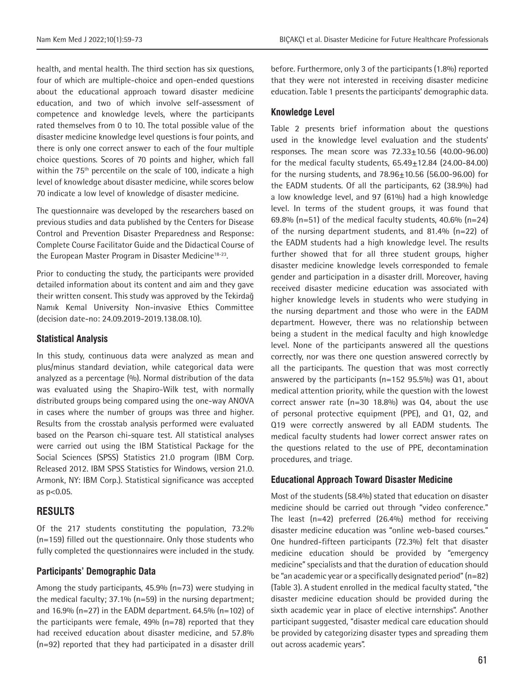health, and mental health. The third section has six questions, four of which are multiple-choice and open-ended questions about the educational approach toward disaster medicine education, and two of which involve self-assessment of competence and knowledge levels, where the participants rated themselves from 0 to 10. The total possible value of the disaster medicine knowledge level questions is four points, and there is only one correct answer to each of the four multiple choice questions. Scores of 70 points and higher, which fall within the 75<sup>th</sup> percentile on the scale of 100, indicate a high level of knowledge about disaster medicine, while scores below 70 indicate a low level of knowledge of disaster medicine.

The questionnaire was developed by the researchers based on previous studies and data published by the Centers for Disease Control and Prevention Disaster Preparedness and Response: Complete Course Facilitator Guide and the Didactical Course of the European Master Program in Disaster Medicine<sup>18-23</sup>.

Prior to conducting the study, the participants were provided detailed information about its content and aim and they gave their written consent. This study was approved by the Tekirdağ Namık Kemal University Non-invasive Ethics Committee (decision date-no: 24.09.2019-2019.138.08.10).

## **Statistical Analysis**

In this study, continuous data were analyzed as mean and plus/minus standard deviation, while categorical data were analyzed as a percentage (%). Normal distribution of the data was evaluated using the Shapiro-Wilk test, with normally distributed groups being compared using the one-way ANOVA in cases where the number of groups was three and higher. Results from the crosstab analysis performed were evaluated based on the Pearson chi-square test. All statistical analyses were carried out using the IBM Statistical Package for the Social Sciences (SPSS) Statistics 21.0 program (IBM Corp. Released 2012. IBM SPSS Statistics for Windows, version 21.0. Armonk, NY: IBM Corp.). Statistical significance was accepted as p<0.05.

# **RESULTS**

Of the 217 students constituting the population, 73.2% (n=159) filled out the questionnaire. Only those students who fully completed the questionnaires were included in the study.

## **Participants' Demographic Data**

Among the study participants, 45.9% (n=73) were studying in the medical faculty; 37.1% (n=59) in the nursing department; and 16.9% (n=27) in the EADM department. 64.5% (n=102) of the participants were female, 49% (n=78) reported that they had received education about disaster medicine, and 57.8% (n=92) reported that they had participated in a disaster drill

before. Furthermore, only 3 of the participants (1.8%) reported that they were not interested in receiving disaster medicine education. Table 1 presents the participants' demographic data.

## **Knowledge Level**

Table 2 presents brief information about the questions used in the knowledge level evaluation and the students' responses. The mean score was 72.33±10.56 (40.00-96.00) for the medical faculty students,  $65.49 \pm 12.84$  (24.00-84.00) for the nursing students, and  $78.96 \pm 10.56$  (56.00-96.00) for the EADM students. Of all the participants, 62 (38.9%) had a low knowledge level, and 97 (61%) had a high knowledge level. In terms of the student groups, it was found that 69.8% ( $n=51$ ) of the medical faculty students, 40.6% ( $n=24$ ) of the nursing department students, and 81.4% (n=22) of the EADM students had a high knowledge level. The results further showed that for all three student groups, higher disaster medicine knowledge levels corresponded to female gender and participation in a disaster drill. Moreover, having received disaster medicine education was associated with higher knowledge levels in students who were studying in the nursing department and those who were in the EADM department. However, there was no relationship between being a student in the medical faculty and high knowledge level. None of the participants answered all the questions correctly, nor was there one question answered correctly by all the participants. The question that was most correctly answered by the participants (n=152 95.5%) was Q1, about medical attention priority, while the question with the lowest correct answer rate (n=30 18.8%) was Q4, about the use of personal protective equipment (PPE), and Q1, Q2, and Q19 were correctly answered by all EADM students. The medical faculty students had lower correct answer rates on the questions related to the use of PPE, decontamination procedures, and triage.

# **Educational Approach Toward Disaster Medicine**

Most of the students (58.4%) stated that education on disaster medicine should be carried out through "video conference." The least (n=42) preferred (26.4%) method for receiving disaster medicine education was "online web-based courses." One hundred-fifteen participants (72.3%) felt that disaster medicine education should be provided by "emergency medicine" specialists and that the duration of education should be "an academic year or a specifically designated period" (n=82) (Table 3). A student enrolled in the medical faculty stated, "the disaster medicine education should be provided during the sixth academic year in place of elective internships". Another participant suggested, "disaster medical care education should be provided by categorizing disaster types and spreading them out across academic years".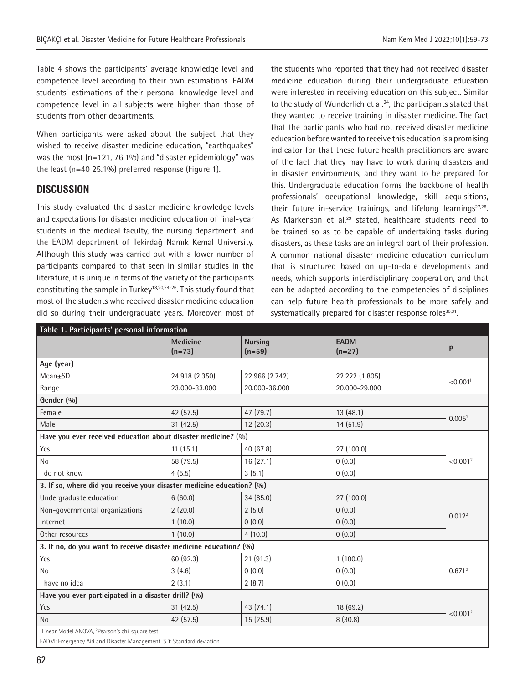Table 4 shows the participants' average knowledge level and competence level according to their own estimations. EADM students' estimations of their personal knowledge level and competence level in all subjects were higher than those of students from other departments.

When participants were asked about the subject that they wished to receive disaster medicine education, "earthquakes" was the most (n=121, 76.1%) and "disaster epidemiology" was the least (n=40 25.1%) preferred response (Figure 1).

# **DISCUSSION**

This study evaluated the disaster medicine knowledge levels and expectations for disaster medicine education of final-year students in the medical faculty, the nursing department, and the EADM department of Tekirdağ Namık Kemal University. Although this study was carried out with a lower number of participants compared to that seen in similar studies in the literature, it is unique in terms of the variety of the participants constituting the sample in Turkey<sup>18,20,24-26</sup>. This study found that most of the students who received disaster medicine education did so during their undergraduate years. Moreover, most of

the students who reported that they had not received disaster medicine education during their undergraduate education were interested in receiving education on this subject. Similar to the study of Wunderlich et al.<sup>24</sup>, the participants stated that they wanted to receive training in disaster medicine. The fact that the participants who had not received disaster medicine education before wanted to receive this education is a promising indicator for that these future health practitioners are aware of the fact that they may have to work during disasters and in disaster environments, and they want to be prepared for this. Undergraduate education forms the backbone of health professionals' occupational knowledge, skill acquisitions, their future in-service trainings, and lifelong learnings<sup>27,28</sup>. As Markenson et al.<sup>29</sup> stated, healthcare students need to be trained so as to be capable of undertaking tasks during disasters, as these tasks are an integral part of their profession. A common national disaster medicine education curriculum that is structured based on up-to-date developments and needs, which supports interdisciplinary cooperation, and that can be adapted according to the competencies of disciplines can help future health professionals to be more safely and systematically prepared for disaster response roles<sup>30,31</sup>.

| Table 1. Participants' personal information                             |                             |                            |                         |                      |  |  |
|-------------------------------------------------------------------------|-----------------------------|----------------------------|-------------------------|----------------------|--|--|
|                                                                         | <b>Medicine</b><br>$(n=73)$ | <b>Nursing</b><br>$(n=59)$ | <b>EADM</b><br>$(n=27)$ | p                    |  |  |
| Age (year)                                                              |                             |                            |                         |                      |  |  |
| $Mean \pm SD$                                                           | 24.918 (2.350)              | 22.966 (2.742)             | 22.222 (1.805)          | < 0.001 <sup>1</sup> |  |  |
| Range                                                                   | 23.000-33.000               | 20.000-36.000              | 20.000-29.000           |                      |  |  |
| Gender (%)                                                              |                             |                            |                         |                      |  |  |
| Female                                                                  | 42 (57.5)                   | 47 (79.7)                  | 13 (48.1)               | 0.005 <sup>2</sup>   |  |  |
| Male                                                                    | 31(42.5)                    | 12 (20.3)                  | 14 (51.9)               |                      |  |  |
| Have you ever received education about disaster medicine? (%)           |                             |                            |                         |                      |  |  |
| Yes                                                                     | 11(15.1)                    | 40 (67.8)                  | 27 (100.0)              | < 0.001 <sup>2</sup> |  |  |
| <b>No</b>                                                               | 58 (79.5)                   | 16(27.1)                   | 0(0.0)                  |                      |  |  |
| I do not know                                                           | 4(5.5)                      | 3(5.1)                     | 0(0.0)                  |                      |  |  |
| 3. If so, where did you receive your disaster medicine education? (%)   |                             |                            |                         |                      |  |  |
| Undergraduate education                                                 | 6(60.0)                     | 34 (85.0)                  | 27 (100.0)              |                      |  |  |
| Non-governmental organizations                                          | 2(20.0)                     | 2(5.0)                     | 0(0.0)                  | 0.012 <sup>2</sup>   |  |  |
| Internet                                                                | 1(10.0)                     | 0(0.0)                     | 0(0.0)                  |                      |  |  |
| Other resources                                                         | 1(10.0)                     | 4(10.0)                    | 0(0.0)                  |                      |  |  |
| 3. If no, do you want to receive disaster medicine education? (%)       |                             |                            |                         |                      |  |  |
| Yes                                                                     | 60 (92.3)                   | 21 (91.3)                  | 1(100.0)                | 0.671 <sup>2</sup>   |  |  |
| <b>No</b>                                                               | 3(4.6)                      | 0(0.0)                     | 0(0.0)                  |                      |  |  |
| I have no idea                                                          | 2(3.1)                      | 2(8.7)                     | 0(0.0)                  |                      |  |  |
| Have you ever participated in a disaster drill? (%)                     |                             |                            |                         |                      |  |  |
| Yes                                                                     | 31(42.5)                    | 43 (74.1)                  | 18 (69.2)               |                      |  |  |
| <b>No</b>                                                               | 42 (57.5)                   | 15 (25.9)                  | 8(30.8)                 | < 0.001 <sup>2</sup> |  |  |
| <sup>1</sup> Linear Model ANOVA, <sup>2</sup> Pearson's chi-square test |                             |                            |                         |                      |  |  |

EADM: Emergency Aid and Disaster Management, SD: Standard deviation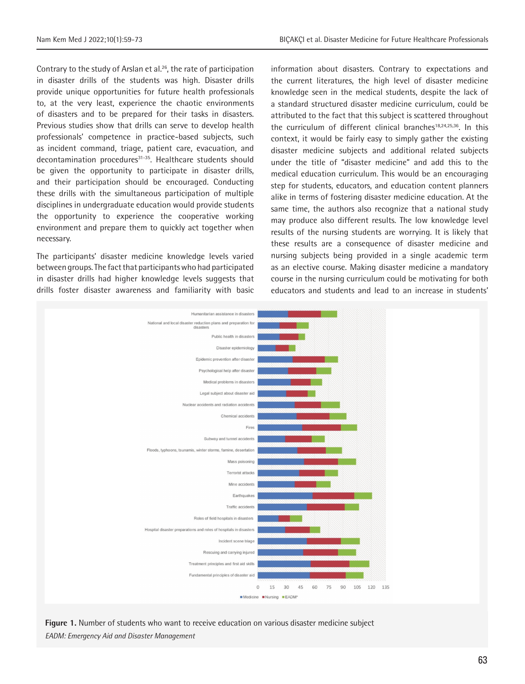Contrary to the study of Arslan et al.26, the rate of participation in disaster drills of the students was high. Disaster drills provide unique opportunities for future health professionals to, at the very least, experience the chaotic environments of disasters and to be prepared for their tasks in disasters. Previous studies show that drills can serve to develop health professionals' competence in practice-based subjects, such as incident command, triage, patient care, evacuation, and decontamination procedures<sup>31-35</sup>. Healthcare students should be given the opportunity to participate in disaster drills, and their participation should be encouraged. Conducting these drills with the simultaneous participation of multiple disciplines in undergraduate education would provide students the opportunity to experience the cooperative working environment and prepare them to quickly act together when necessary.

The participants' disaster medicine knowledge levels varied between groups. The fact that participants who had participated in disaster drills had higher knowledge levels suggests that drills foster disaster awareness and familiarity with basic information about disasters. Contrary to expectations and the current literatures, the high level of disaster medicine knowledge seen in the medical students, despite the lack of a standard structured disaster medicine curriculum, could be attributed to the fact that this subject is scattered throughout the curriculum of different clinical branches<sup>18,24,25,36</sup>. In this context, it would be fairly easy to simply gather the existing disaster medicine subjects and additional related subjects under the title of "disaster medicine" and add this to the medical education curriculum. This would be an encouraging step for students, educators, and education content planners alike in terms of fostering disaster medicine education. At the same time, the authors also recognize that a national study may produce also different results. The low knowledge level results of the nursing students are worrying. It is likely that these results are a consequence of disaster medicine and nursing subjects being provided in a single academic term as an elective course. Making disaster medicine a mandatory course in the nursing curriculum could be motivating for both educators and students and lead to an increase in students'



**Figure 1.** Number of students who want to receive education on various disaster medicine subject *EADM: Emergency Aid and Disaster Management*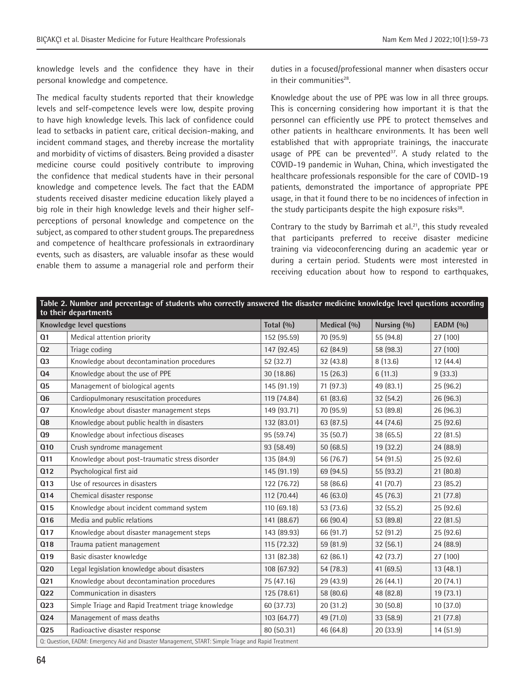knowledge levels and the confidence they have in their personal knowledge and competence.

The medical faculty students reported that their knowledge levels and self-competence levels were low, despite proving to have high knowledge levels. This lack of confidence could lead to setbacks in patient care, critical decision-making, and incident command stages, and thereby increase the mortality and morbidity of victims of disasters. Being provided a disaster medicine course could positively contribute to improving the confidence that medical students have in their personal knowledge and competence levels. The fact that the EADM students received disaster medicine education likely played a big role in their high knowledge levels and their higher selfperceptions of personal knowledge and competence on the subject, as compared to other student groups. The preparedness and competence of healthcare professionals in extraordinary events, such as disasters, are valuable insofar as these would enable them to assume a managerial role and perform their duties in a focused/professional manner when disasters occur in their communities<sup>28</sup>.

Knowledge about the use of PPE was low in all three groups. This is concerning considering how important it is that the personnel can efficiently use PPE to protect themselves and other patients in healthcare environments. It has been well established that with appropriate trainings, the inaccurate usage of PPE can be prevented<sup>37</sup>. A study related to the COVID-19 pandemic in Wuhan, China, which investigated the healthcare professionals responsible for the care of COVID-19 patients, demonstrated the importance of appropriate PPE usage, in that it found there to be no incidences of infection in the study participants despite the high exposure risks $38$ .

Contrary to the study by Barrimah et al. $21$ , this study revealed that participants preferred to receive disaster medicine training via videoconferencing during an academic year or during a certain period. Students were most interested in receiving education about how to respond to earthquakes,

| Table 2. Number and percentage of students who correctly answered the disaster medicine knowledge level questions according |                                                    |             |           |           |           |  |  |
|-----------------------------------------------------------------------------------------------------------------------------|----------------------------------------------------|-------------|-----------|-----------|-----------|--|--|
| to their departments<br><b>Knowledge level questions</b><br>Total $(%$<br>Medical (%)<br>Nursing (%)<br>EADM (%)            |                                                    |             |           |           |           |  |  |
| Q <sub>1</sub>                                                                                                              | Medical attention priority                         | 152 (95.59) | 70 (95.9) | 55 (94.8) | 27 (100)  |  |  |
| Q2                                                                                                                          | Triage coding                                      | 147 (92.45) | 62 (84.9) | 58 (98.3) | 27 (100)  |  |  |
| <b>Q3</b>                                                                                                                   | Knowledge about decontamination procedures         | 52 (32.7)   | 32 (43.8) | 8(13.6)   | 12(44.4)  |  |  |
| Q <sub>4</sub>                                                                                                              | Knowledge about the use of PPE                     | 30 (18.86)  | 15(26.3)  | 6(11.3)   | 9(33.3)   |  |  |
| Q <sub>5</sub>                                                                                                              | Management of biological agents                    | 145 (91.19) | 71 (97.3) | 49 (83.1) | 25 (96.2) |  |  |
| Q6                                                                                                                          | Cardiopulmonary resuscitation procedures           | 119 (74.84) | 61 (83.6) | 32(54.2)  | 26 (96.3) |  |  |
| Q7                                                                                                                          | Knowledge about disaster management steps          | 149 (93.71) | 70 (95.9) | 53 (89.8) | 26 (96.3) |  |  |
| Q8                                                                                                                          | Knowledge about public health in disasters         | 132 (83.01) | 63 (87.5) | 44 (74.6) | 25 (92.6) |  |  |
| Q <sub>9</sub>                                                                                                              | Knowledge about infectious diseases                | 95 (59.74)  | 35(50.7)  | 38 (65.5) | 22 (81.5) |  |  |
| <b>Q10</b>                                                                                                                  | Crush syndrome management                          | 93 (58.49)  | 50(68.5)  | 19(32.2)  | 24 (88.9) |  |  |
| Q11                                                                                                                         | Knowledge about post-traumatic stress disorder     | 135 (84.9)  | 56 (76.7) | 54 (91.5) | 25 (92.6) |  |  |
| Q <sub>12</sub>                                                                                                             | Psychological first aid                            | 145 (91.19) | 69 (94.5) | 55 (93.2) | 21(80.8)  |  |  |
| <b>Q13</b>                                                                                                                  | Use of resources in disasters                      | 122 (76.72) | 58 (86.6) | 41 (70.7) | 23 (85.2) |  |  |
| <b>Q14</b>                                                                                                                  | Chemical disaster response                         | 112 (70.44) | 46 (63.0) | 45 (76.3) | 21(77.8)  |  |  |
| Q <sub>15</sub>                                                                                                             | Knowledge about incident command system            | 110 (69.18) | 53 (73.6) | 32(55.2)  | 25(92.6)  |  |  |
| Q16                                                                                                                         | Media and public relations                         | 141 (88.67) | 66 (90.4) | 53 (89.8) | 22 (81.5) |  |  |
| Q17                                                                                                                         | Knowledge about disaster management steps          | 143 (89.93) | 66 (91.7) | 52(91.2)  | 25(92.6)  |  |  |
| Q18                                                                                                                         | Trauma patient management                          | 115 (72.32) | 59 (81.9) | 32(56.1)  | 24 (88.9) |  |  |
| Q19                                                                                                                         | Basic disaster knowledge                           | 131 (82.38) | 62 (86.1) | 42 (73.7) | 27 (100)  |  |  |
| 020                                                                                                                         | Legal legislation knowledge about disasters        | 108 (67.92) | 54 (78.3) | 41(69.5)  | 13(48.1)  |  |  |
| 021                                                                                                                         | Knowledge about decontamination procedures         | 75 (47.16)  | 29 (43.9) | 26 (44.1) | 20(74.1)  |  |  |
| 022                                                                                                                         | Communication in disasters                         | 125 (78.61) | 58 (80.6) | 48 (82.8) | 19(73.1)  |  |  |
| 023                                                                                                                         | Simple Triage and Rapid Treatment triage knowledge | 60 (37.73)  | 20 (31.2) | 30(50.8)  | 10(37.0)  |  |  |
| Q24                                                                                                                         | Management of mass deaths                          | 103 (64.77) | 49 (71.0) | 33 (58.9) | 21(77.8)  |  |  |
| 025                                                                                                                         | Radioactive disaster response                      | 80 (50.31)  | 46 (64.8) | 20 (33.9) | 14(51.9)  |  |  |
| Q: Question, EADM: Emergency Aid and Disaster Management, START: Simple Triage and Rapid Treatment                          |                                                    |             |           |           |           |  |  |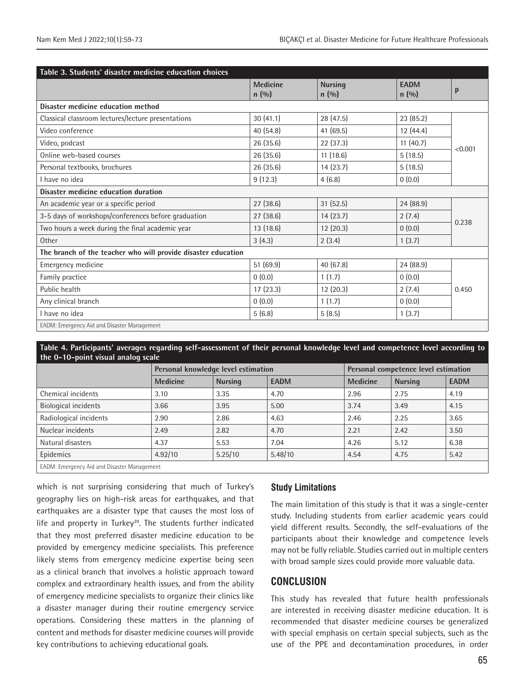| Table 3. Students' disaster medicine education choices        |                           |                          |                       |         |  |
|---------------------------------------------------------------|---------------------------|--------------------------|-----------------------|---------|--|
|                                                               | <b>Medicine</b><br>n(0/0) | <b>Nursing</b><br>n(0/0) | <b>EADM</b><br>n(0/0) | p       |  |
| Disaster medicine education method                            |                           |                          |                       |         |  |
| Classical classroom lectures/lecture presentations            | 30(41.1)                  | 28 (47.5)                | 23 (85.2)             |         |  |
| Video conference                                              | 40 (54.8)                 | 41 (69.5)                | 12(44.4)              |         |  |
| Video, podcast                                                | 26 (35.6)                 | 22 (37.3)                | 11(40.7)              | < 0.001 |  |
| Online web-based courses                                      | 26 (35.6)                 | 11(18.6)                 | 5(18.5)               |         |  |
| Personal textbooks, brochures                                 | 26 (35.6)                 | 14(23.7)                 | 5(18.5)               |         |  |
| I have no idea                                                | 9(12.3)                   | 4(6.8)                   | 0(0.0)                |         |  |
| Disaster medicine education duration                          |                           |                          |                       |         |  |
| An academic year or a specific period                         | 27(38.6)                  | 31(52.5)                 | 24 (88.9)             |         |  |
| 3-5 days of workshops/conferences before graduation           | 27 (38.6)                 | 14(23.7)                 | 2(7.4)                | 0.238   |  |
| Two hours a week during the final academic year               | 13 (18.6)                 | 12(20.3)                 | 0(0.0)                |         |  |
| Other                                                         | 3(4.3)                    | 2(3.4)                   | 1(3.7)                |         |  |
| The branch of the teacher who will provide disaster education |                           |                          |                       |         |  |
| Emergency medicine                                            | 51(69.9)                  | 40 (67.8)                | 24 (88.9)             |         |  |
| Family practice                                               | 0(0.0)                    | 1(1.7)                   | 0(0.0)                |         |  |
| Public health                                                 | 17(23.3)                  | 12(20.3)                 | 2(7.4)                | 0.450   |  |
| Any clinical branch                                           | 0(0.0)                    | 1(1.7)                   | 0(0.0)                |         |  |
| I have no idea                                                | 5(6.8)                    | 5(8.5)                   | 1(3.7)                |         |  |
| EADM: Emergency Aid and Disaster Management                   |                           |                          |                       |         |  |

#### **Table 4. Participants' averages regarding self-assessment of their personal knowledge level and competence level according to the 0-10-point visual analog scale**

| ______                                             |                                     |                |             |                                      |                |             |  |
|----------------------------------------------------|-------------------------------------|----------------|-------------|--------------------------------------|----------------|-------------|--|
|                                                    | Personal knowledge level estimation |                |             | Personal competence level estimation |                |             |  |
|                                                    | <b>Medicine</b>                     | <b>Nursing</b> | <b>EADM</b> | <b>Medicine</b>                      | <b>Nursing</b> | <b>EADM</b> |  |
| Chemical incidents                                 | 3.10                                | 3.35           | 4.70        | 2.96                                 | 2.75           | 4.19        |  |
| <b>Biological incidents</b>                        | 3.66                                | 3.95           | 5.00        | 3.74                                 | 3.49           | 4.15        |  |
| Radiological incidents                             | 2.90                                | 2.86           | 4.63        | 2.46                                 | 2.25           | 3.65        |  |
| Nuclear incidents                                  | 2.49                                | 2.82           | 4.70        | 2.21                                 | 2.42           | 3.50        |  |
| Natural disasters                                  | 4.37                                | 5.53           | 7.04        | 4.26                                 | 5.12           | 6.38        |  |
| Epidemics                                          | 4.92/10                             | 5.25/10        | 5.48/10     | 4.54                                 | 4.75           | 5.42        |  |
| <b>EADM: Emergency Aid and Disaster Management</b> |                                     |                |             |                                      |                |             |  |

EADM: Emergency Aid and Disaster Management

which is not surprising considering that much of Turkey's geography lies on high-risk areas for earthquakes, and that earthquakes are a disaster type that causes the most loss of life and property in Turkey<sup>39</sup>. The students further indicated that they most preferred disaster medicine education to be provided by emergency medicine specialists. This preference likely stems from emergency medicine expertise being seen as a clinical branch that involves a holistic approach toward complex and extraordinary health issues, and from the ability of emergency medicine specialists to organize their clinics like a disaster manager during their routine emergency service operations. Considering these matters in the planning of content and methods for disaster medicine courses will provide key contributions to achieving educational goals.

# **Study Limitations**

The main limitation of this study is that it was a single-center study. Including students from earlier academic years could yield different results. Secondly, the self-evaluations of the participants about their knowledge and competence levels may not be fully reliable. Studies carried out in multiple centers with broad sample sizes could provide more valuable data.

# **CONCLUSION**

This study has revealed that future health professionals are interested in receiving disaster medicine education. It is recommended that disaster medicine courses be generalized with special emphasis on certain special subjects, such as the use of the PPE and decontamination procedures, in order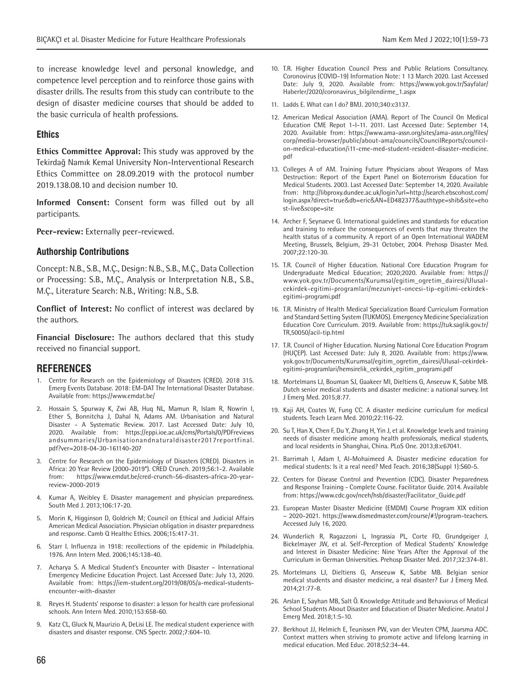to increase knowledge level and personal knowledge, and competence level perception and to reinforce those gains with disaster drills. The results from this study can contribute to the design of disaster medicine courses that should be added to the basic curricula of health professions.

#### **Ethics**

**Ethics Committee Approval:** This study was approved by the Tekirdağ Namık Kemal University Non-Interventional Research Ethics Committee on 28.09.2019 with the protocol number 2019.138.08.10 and decision number 10.

**Informed Consent:** Consent form was filled out by all participants.

**Peer-review:** Externally peer-reviewed.

#### **Authorship Contributions**

Concept: N.B., S.B., M.Ç., Design: N.B., S.B., M.Ç., Data Collection or Processing: S.B., M.Ç., Analysis or Interpretation N.B., S.B., M.Ç., Literature Search: N.B., Writing: N.B., S.B.

**Conflict of Interest:** No conflict of interest was declared by the authors.

**Financial Disclosure:** The authors declared that this study received no financial support.

#### **REFERENCES**

- 1. Centre for Research on the Epidemiology of Disasters (CRED). 2018 315. Emerg Events Database. 2018: EM-DAT The International Disaster Database. Available from: https://www.emdat.be/
- 2. Hossain S, Spurway K, Zwi AB, Huq NL, Mamun R, Islam R, Nowrin I, Ether S, Bonnitcha J, Dahal N, Adams AM. Urbanisation and Natural Disaster - A Systematic Review. 2017. Last Accessed Date: July 10, 2020. Available from: https://eppi.ioe.ac.uk/cms/Portals/0/PDFreviews andsummaries/Urbanisationandnaturaldisaster2017reportfinal. pdf?ver=2018-04-30-161140-207
- 3. Centre for Research on the Epidemiology of Disasters (CRED). Disasters in Africa: 20 Year Review (2000-2019\*). CRED Crunch. 2019;56:1-2. Available from: https://www.emdat.be/cred-crunch-56-disasters-africa-20-yearreview-2000-2019
- 4. Kumar A, Weibley E. Disaster management and physician preparedness. South Med J. 2013;106:17-20.
- 5. Morin K, Higginson D, Goldrich M; Council on Ethical and Judicial Affairs American Medical Association. Physician obligation in disaster preparedness and response. Camb Q Healthc Ethics. 2006;15:417-31.
- 6. Starr I. Influenza in 1918: recollections of the epidemic in Philadelphia. 1976. Ann Intern Med. 2006;145:138-40.
- 7. Acharya S. A Medical Student's Encounter with Disaster International Emergency Medicine Education Project. Last Accessed Date: July 13, 2020. Available from: https://iem-student.org/2019/08/05/a-medical-studentsencounter-with-disaster
- 8. Reyes H. Students' response to disaster: a lesson for health care professional schools. Ann Intern Med. 2010;153:658-60.
- 9. Katz CL, Gluck N, Maurizio A, DeLisi LE. The medical student experience with disasters and disaster response. CNS Spectr. 2002;7:604-10.
- 10. T.R. Higher Education Council Press and Public Relations Consultancy. Coronovirus (COVID-19) Information Note: 1 13 March 2020. Last Accessed Date: July 9, 2020. Available from: https://www.yok.gov.tr/Sayfalar/ Haberler/2020/coronavirus\_bilgilendirme\_1.aspx
- 11. Ladds E. What can I do? BMJ. 2010;340:c3137.
- 12. American Medical Association (AMA). Report of The Council On Medical Education CME Repot 1-I-11. 2011. Last Accessed Date: September 14, 2020. Available from: https://www.ama-assn.org/sites/ama-assn.org/files/ corp/media-browser/public/about-ama/councils/CouncilReports/councilon-medical-education/i11-cme-med-student-resident-disaster-medicine. pdf
- 13. Colleges A of AM. Training Future Physicians about Weapons of Mass Destruction: Report of the Expert Panel on Bioterrorism Education for Medical Students. 2003. Last Accessed Date: September 14, 2020. Available from: http://libproxy.dundee.ac.uk/login?url=http://search.ebscohost.com/ login.aspx?direct=true&db=eric&AN=ED482377&authtype=shib&site=eho st-live&scope=site
- 14. Archer F, Seynaeve G. International guidelines and standards for education and training to reduce the consequences of events that may threaten the health status of a community. A report of an Open International WADEM Meeting, Brussels, Belgium, 29-31 October, 2004. Prehosp Disaster Med. 2007;22:120-30.
- 15. T.R. Council of Higher Education. National Core Education Program for Undergraduate Medical Education; 2020;2020. Available from: https:// www.yok.gov.tr/Documents/Kurumsal/egitim\_ogretim\_dairesi/Ulusalcekirdek-egitimi-programlari/mezuniyet-oncesi-tip-egitimi-cekirdekegitimi-programi.pdf
- 16. T.R. Ministry of Health Medical Specialization Board Curriculum Formation and Standard Setting System (TUKMOS). Emergency Medicine Specialization Education Core Curriculum. 2019. Available from: https://tuk.saglik.gov.tr/ TR,50050/acil-tip.html
- 17. T.R. Council of Higher Education. Nursing National Core Education Program (HUÇEP). Last Accessed Date: July 8, 2020. Available from: https://www. yok.gov.tr/Documents/Kurumsal/egitim\_ogretim\_dairesi/Ulusal-cekirdekegitimi-programlari/hemsirelik\_cekirdek\_egitim\_programi.pdf
- 18. Mortelmans LJ, Bouman SJ, Gaakeer MI, Dieltiens G, Anseeuw K, Sabbe MB. Dutch senior medical students and disaster medicine: a national survey. Int J Emerg Med. 2015;8:77.
- 19. Kaji AH, Coates W, Fung CC. A disaster medicine curriculum for medical students. Teach Learn Med. 2010;22:116-22.
- 20. Su T, Han X, Chen F, Du Y, Zhang H, Yin J, et al. Knowledge levels and training needs of disaster medicine among health professionals, medical students, and local residents in Shanghai, China. PLoS One. 2013;8:e67041.
- 21. Barrimah I, Adam I, Al-Mohaimeed A. Disaster medicine education for medical students: Is it a real need? Med Teach. 2016;38(Suppl 1):S60-5.
- 22. Centers for Disease Control and Prevention (CDC). Disaster Preparedness and Response Training - Complete Course. Facilitator Guide. 2014. Available from: https://www.cdc.gov/nceh/hsb/disaster/Facilitator\_Guide.pdf
- 23. European Master Disaster Medicine (EMDM) Course Program XIX edition – 2020-2021. https://www.dismedmaster.com/course/#!/program-teachers. Accessed July 16, 2020.
- 24. Wunderlich R, Ragazzoni L, Ingrassia PL, Corte FD, Grundgeiger J, Bickelmayer JW, et al. Self-Perception of Medical Students' Knowledge and Interest in Disaster Medicine: Nine Years After the Approval of the Curriculum in German Universities. Prehosp Disaster Med. 2017;32:374-81.
- 25. Mortelmans LJ, Dieltiens G, Anseeuw K, Sabbe MB. Belgian senior medical students and disaster medicine, a real disaster? Eur J Emerg Med. 2014;21:77-8.
- 26. Arslan E, Sayhan MB, Salt Ö. Knowledge Attitude and Behaviorus of Medical School Students About Disaster and Education of Disater Medicine. Anatol J Emerg Med. 2018;1:5-10.
- 27. Berkhout JJ, Helmich E, Teunissen PW, van der Vleuten CPM, Jaarsma ADC. Context matters when striving to promote active and lifelong learning in medical education. Med Educ. 2018;52:34-44.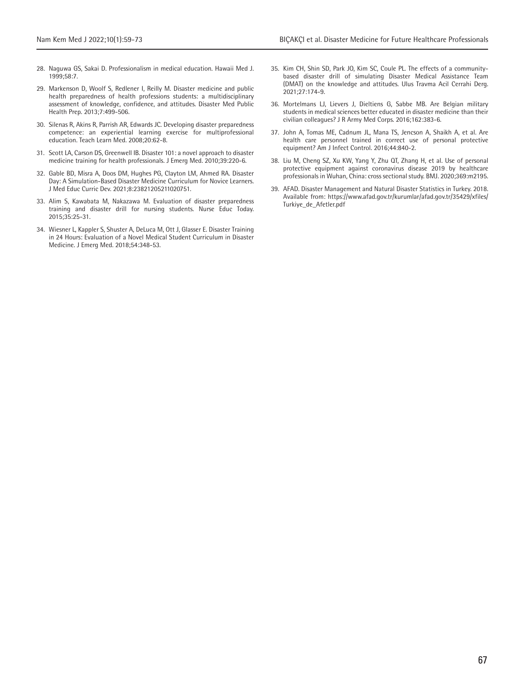- 28. Naguwa GS, Sakai D. Professionalism in medical education. Hawaii Med J.  $1999.58.7$
- 29. Markenson D, Woolf S, Redlener I, Reilly M. Disaster medicine and public health preparedness of health professions students: a multidisciplinary assessment of knowledge, confidence, and attitudes. Disaster Med Public Health Prep. 2013;7:499-506.
- 30. Silenas R, Akins R, Parrish AR, Edwards JC. Developing disaster preparedness competence: an experiential learning exercise for multiprofessional education. Teach Learn Med. 2008;20:62-8.
- 31. Scott LA, Carson DS, Greenwell IB. Disaster 101: a novel approach to disaster medicine training for health professionals. J Emerg Med. 2010;39:220-6.
- 32. Gable BD, Misra A, Doos DM, Hughes PG, Clayton LM, Ahmed RA. Disaster Day: A Simulation-Based Disaster Medicine Curriculum for Novice Learners. J Med Educ Curric Dev. 2021;8:23821205211020751.
- 33. Alim S, Kawabata M, Nakazawa M. Evaluation of disaster preparedness training and disaster drill for nursing students. Nurse Educ Today. 2015;35:25-31.
- 34. Wiesner L, Kappler S, Shuster A, DeLuca M, Ott J, Glasser E. Disaster Training in 24 Hours: Evaluation of a Novel Medical Student Curriculum in Disaster Medicine. J Emerg Med. 2018;54:348-53.
- 35. Kim CH, Shin SD, Park JO, Kim SC, Coule PL. The effects of a communitybased disaster drill of simulating Disaster Medical Assistance Team (DMAT) on the knowledge and attitudes. Ulus Travma Acil Cerrahi Derg. 2021;27:174-9.
- 36. Mortelmans LJ, Lievers J, Dieltiens G, Sabbe MB. Are Belgian military students in medical sciences better educated in disaster medicine than their civilian colleagues? J R Army Med Corps. 2016;162:383-6.
- 37. John A, Tomas ME, Cadnum JL, Mana TS, Jencson A, Shaikh A, et al. Are health care personnel trained in correct use of personal protective equipment? Am J Infect Control. 2016;44:840-2.
- 38. Liu M, Cheng SZ, Xu KW, Yang Y, Zhu QT, Zhang H, et al. Use of personal protective equipment against coronavirus disease 2019 by healthcare professionals in Wuhan, China: cross sectional study. BMJ. 2020;369:m2195.
- 39. AFAD. Disaster Management and Natural Disaster Statistics in Turkey. 2018. Available from: https://www.afad.gov.tr/kurumlar/afad.gov.tr/35429/xfiles/ Turkiye\_de\_Afetler.pdf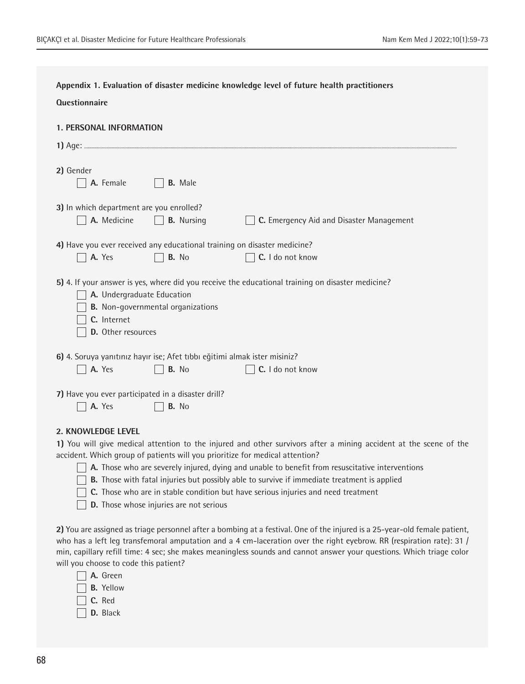| Appendix 1. Evaluation of disaster medicine knowledge level of future health practitioners                                                                                                                                                                                                                                                                                                                                                                                                                                                                       |
|------------------------------------------------------------------------------------------------------------------------------------------------------------------------------------------------------------------------------------------------------------------------------------------------------------------------------------------------------------------------------------------------------------------------------------------------------------------------------------------------------------------------------------------------------------------|
| <b>Questionnaire</b>                                                                                                                                                                                                                                                                                                                                                                                                                                                                                                                                             |
| <b>1. PERSONAL INFORMATION</b>                                                                                                                                                                                                                                                                                                                                                                                                                                                                                                                                   |
| 2) Gender<br>A. Female<br><b>B.</b> Male                                                                                                                                                                                                                                                                                                                                                                                                                                                                                                                         |
| 3) In which department are you enrolled?<br>A. Medicine<br><b>B.</b> Nursing<br>C. Emergency Aid and Disaster Management                                                                                                                                                                                                                                                                                                                                                                                                                                         |
| 4) Have you ever received any educational training on disaster medicine?<br>A. Yes<br>C. I do not know<br>B. No                                                                                                                                                                                                                                                                                                                                                                                                                                                  |
| 5) 4. If your answer is yes, where did you receive the educational training on disaster medicine?<br>A. Undergraduate Education<br><b>B.</b> Non-governmental organizations<br>C. Internet<br>D. Other resources                                                                                                                                                                                                                                                                                                                                                 |
| 6) 4. Soruya yanıtınız hayır ise; Afet tıbbı eğitimi almak ister misiniz?<br>B. No<br>C. I do not know<br>A. Yes                                                                                                                                                                                                                                                                                                                                                                                                                                                 |
| 7) Have you ever participated in a disaster drill?<br>A. Yes<br>B. No                                                                                                                                                                                                                                                                                                                                                                                                                                                                                            |
| 2. KNOWLEDGE LEVEL<br>1) You will give medical attention to the injured and other survivors after a mining accident at the scene of the<br>accident. Which group of patients will you prioritize for medical attention?<br>A. Those who are severely injured, dying and unable to benefit from resuscitative interventions<br><b>B.</b> Those with fatal injuries but possibly able to survive if immediate treatment is applied<br>C. Those who are in stable condition but have serious injuries and need treatment<br>D. Those whose injuries are not serious |
| 2) You are assigned as triage personnel after a bombing at a festival. One of the injured is a 25-year-old female patient,<br>who has a left leg transfemoral amputation and a 4 cm-laceration over the right eyebrow. RR (respiration rate): 31 /<br>min, capillary refill time: 4 sec; she makes meaningless sounds and cannot answer your questions. Which triage color<br>will you choose to code this patient?<br>A. Green<br><b>B.</b> Yellow<br>C. Red                                                                                                    |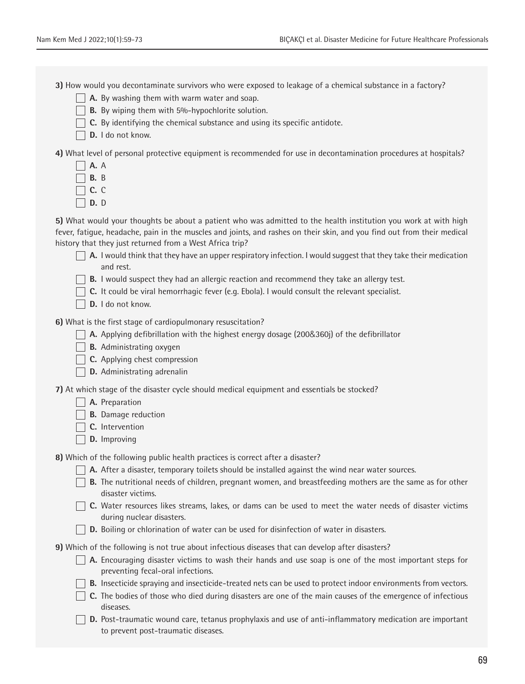**3)** How would you decontaminate survivors who were exposed to leakage of a chemical substance in a factory?

- **A.** By washing them with warm water and soap.
- **B.** By wiping them with 5%-hypochlorite solution.
- $\Box$  **C.** By identifying the chemical substance and using its specific antidote.
- D. I do not know.

**4)** What level of personal protective equipment is recommended for use in decontamination procedures at hospitals?

- **A.** A
- $\Box$  **B.** B
- **C.** C
- **D.** D

**5)** What would your thoughts be about a patient who was admitted to the health institution you work at with high fever, fatigue, headache, pain in the muscles and joints, and rashes on their skin, and you find out from their medical history that they just returned from a West Africa trip?

- $\Box$  **A.** I would think that they have an upper respiratory infection. I would suggest that they take their medication and rest.
- **B.** I would suspect they had an allergic reaction and recommend they take an allergy test.
- **C.** It could be viral hemorrhagic fever (e.g. Ebola). I would consult the relevant specialist.
- **D.** I do not know.

**6)** What is the first stage of cardiopulmonary resuscitation?

- **A.** Applying defibrillation with the highest energy dosage (200&360j) of the defibrillator
- **B.** Administrating oxygen
- **C.** Applying chest compression
- **D.** Administrating adrenalin

**7)** At which stage of the disaster cycle should medical equipment and essentials be stocked?

- **A.** Preparation
- **B.** Damage reduction
- **□** C. Intervention
- **D.** Improving

**8)** Which of the following public health practices is correct after a disaster?

- **A.** After a disaster, temporary toilets should be installed against the wind near water sources.
- **B.** The nutritional needs of children, pregnant women, and breastfeeding mothers are the same as for other disaster victims.
- **C.** Water resources likes streams, lakes, or dams can be used to meet the water needs of disaster victims during nuclear disasters.
- **D.** Boiling or chlorination of water can be used for disinfection of water in disasters.

**9)** Which of the following is not true about infectious diseases that can develop after disasters?

- **A.** Encouraging disaster victims to wash their hands and use soap is one of the most important steps for preventing fecal-oral infections.
- **B.** Insecticide spraying and insecticide-treated nets can be used to protect indoor environments from vectors.
- **C.** The bodies of those who died during disasters are one of the main causes of the emergence of infectious diseases.
- **D.** Post-traumatic wound care, tetanus prophylaxis and use of anti-inflammatory medication are important to prevent post-traumatic diseases.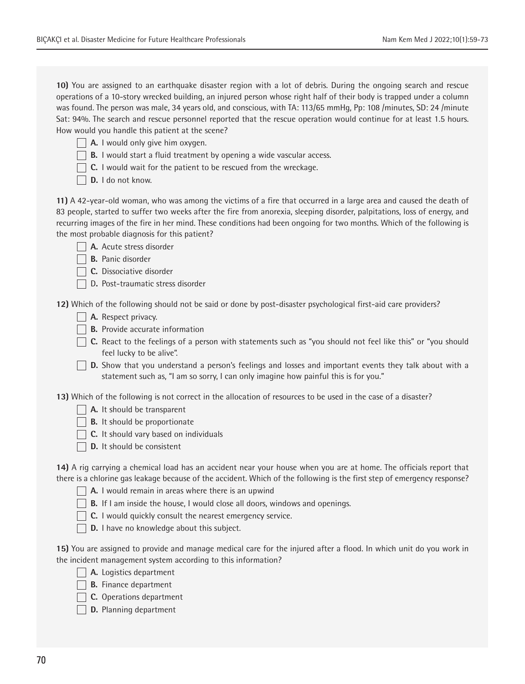**10)** You are assigned to an earthquake disaster region with a lot of debris. During the ongoing search and rescue operations of a 10-story wrecked building, an injured person whose right half of their body is trapped under a column was found. The person was male, 34 years old, and conscious, with TA: 113/65 mmHg, Pp: 108 /minutes, SD: 24 /minute Sat: 94%. The search and rescue personnel reported that the rescue operation would continue for at least 1.5 hours. How would you handle this patient at the scene?

- **A.** I would only give him oxygen.
- **B.** I would start a fluid treatment by opening a wide vascular access.
- **C.** I would wait for the patient to be rescued from the wreckage.
- D. I do not know.

**11)** A 42-year-old woman, who was among the victims of a fire that occurred in a large area and caused the death of 83 people, started to suffer two weeks after the fire from anorexia, sleeping disorder, palpitations, loss of energy, and recurring images of the fire in her mind. These conditions had been ongoing for two months. Which of the following is the most probable diagnosis for this patient?

- **A.** Acute stress disorder
- **B.** Panic disorder
- **C.** Dissociative disorder
- D**.** Post-traumatic stress disorder

**12)** Which of the following should not be said or done by post-disaster psychological first-aid care providers?

- **A.** Respect privacy.
- **B.** Provide accurate information
- **C.** React to the feelings of a person with statements such as "you should not feel like this" or "you should feel lucky to be alive".
- **D.** Show that you understand a person's feelings and losses and important events they talk about with a statement such as, "I am so sorry, I can only imagine how painful this is for you."

**13)** Which of the following is not correct in the allocation of resources to be used in the case of a disaster?

- **A.** It should be transparent
- **B.** It should be proportionate
- **C.** It should vary based on individuals
- **D.** It should be consistent

**14)** A rig carrying a chemical load has an accident near your house when you are at home. The officials report that there is a chlorine gas leakage because of the accident. Which of the following is the first step of emergency response?

- **A.** I would remain in areas where there is an upwind
- **B.** If I am inside the house, I would close all doors, windows and openings.
- **C.** I would quickly consult the nearest emergency service.
- **D.** I have no knowledge about this subject.

**15)** You are assigned to provide and manage medical care for the injured after a flood. In which unit do you work in the incident management system according to this information?

- **A.** Logistics department
- **B.** Finance department
- **C.** Operations department
- **D.** Planning department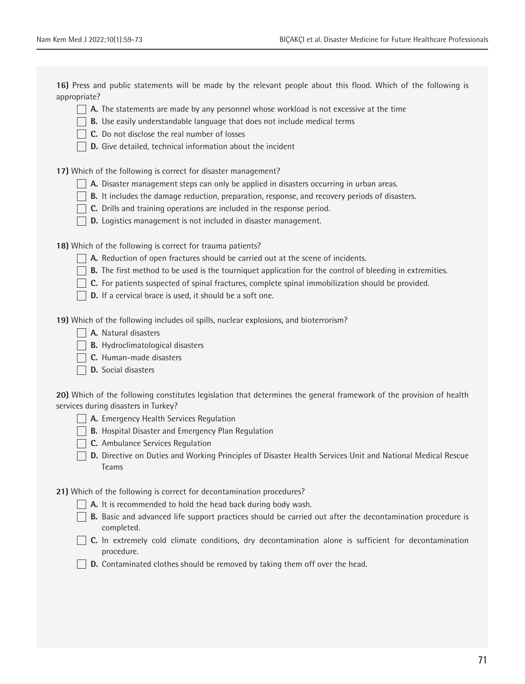**16)** Press and public statements will be made by the relevant people about this flood. Which of the following is appropriate?

- **A.** The statements are made by any personnel whose workload is not excessive at the time
- **B.** Use easily understandable language that does not include medical terms
- **C.** Do not disclose the real number of losses
- **D.** Give detailed, technical information about the incident

**17)** Which of the following is correct for disaster management?

- **A.** Disaster management steps can only be applied in disasters occurring in urban areas.
- **B.** It includes the damage reduction, preparation, response, and recovery periods of disasters.
- **C.** Drills and training operations are included in the response period.
- **D.** Logistics management is not included in disaster management.

**18)** Which of the following is correct for trauma patients?

- **A.** Reduction of open fractures should be carried out at the scene of incidents.
- **B.** The first method to be used is the tourniquet application for the control of bleeding in extremities.
- **C.** For patients suspected of spinal fractures, complete spinal immobilization should be provided.
- **D.** If a cervical brace is used, it should be a soft one.

**19)** Which of the following includes oil spills, nuclear explosions, and bioterrorism?

- **A.** Natural disasters
- **B.** Hydroclimatological disasters
- **C.** Human-made disasters
- **D.** Social disasters

**20)** Which of the following constitutes legislation that determines the general framework of the provision of health services during disasters in Turkey?

- **A.** Emergency Health Services Regulation
- **B.** Hospital Disaster and Emergency Plan Regulation
- **C.** Ambulance Services Regulation
- **D.** Directive on Duties and Working Principles of Disaster Health Services Unit and National Medical Rescue Teams

**21)** Which of the following is correct for decontamination procedures?

- **A.** It is recommended to hold the head back during body wash.
- **B.** Basic and advanced life support practices should be carried out after the decontamination procedure is completed.
- **C.** In extremely cold climate conditions, dry decontamination alone is sufficient for decontamination procedure.
- **D.** Contaminated clothes should be removed by taking them off over the head.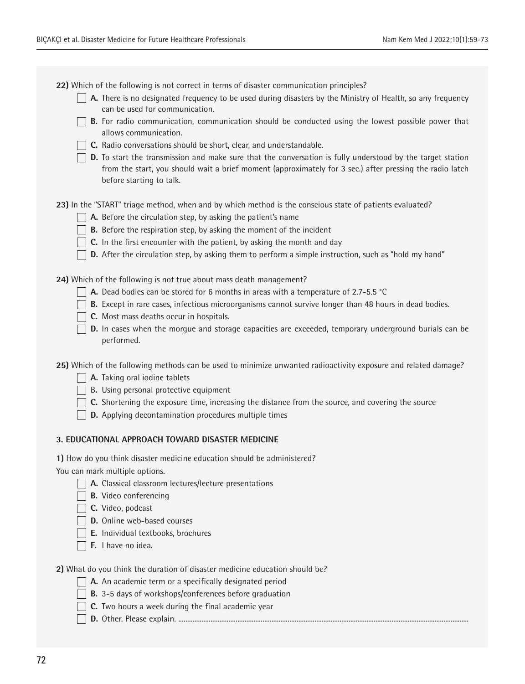**22)** Which of the following is not correct in terms of disaster communication principles?

- **A.** There is no designated frequency to be used during disasters by the Ministry of Health, so any frequency can be used for communication.
- **B.** For radio communication, communication should be conducted using the lowest possible power that allows communication.
- **C.** Radio conversations should be short, clear, and understandable.
- **D.** To start the transmission and make sure that the conversation is fully understood by the target station from the start, you should wait a brief moment (approximately for 3 sec.) after pressing the radio latch before starting to talk.

**23)** In the "START" triage method, when and by which method is the conscious state of patients evaluated?

- **A.** Before the circulation step, by asking the patient's name
- **B.** Before the respiration step, by asking the moment of the incident
- $\Box$  **C.** In the first encounter with the patient, by asking the month and day
- **D.** After the circulation step, by asking them to perform a simple instruction, such as "hold my hand"

**24)** Which of the following is not true about mass death management?

- **A.** Dead bodies can be stored for 6 months in areas with a temperature of 2.7-5.5 °C
- **B.** Except in rare cases, infectious microorganisms cannot survive longer than 48 hours in dead bodies.
- **C.** Most mass deaths occur in hospitals.
- **D.** In cases when the morgue and storage capacities are exceeded, temporary underground burials can be performed.

**25)** Which of the following methods can be used to minimize unwanted radioactivity exposure and related damage?

- **A.** Taking oral iodine tablets
- **B.** Using personal protective equipment
- **C.** Shortening the exposure time, increasing the distance from the source, and covering the source
- **D.** Applying decontamination procedures multiple times

## **3. EDUCATIONAL APPROACH TOWARD DISASTER MEDICINE**

**1)** How do you think disaster medicine education should be administered?

You can mark multiple options.

- **A.** Classical classroom lectures/lecture presentations
- **B.** Video conferencing
- **C.** Video, podcast
- **D.** Online web-based courses
- **E.** Individual textbooks, brochures
- **F.** I have no idea.

**2)** What do you think the duration of disaster medicine education should be?

- **A.** An academic term or a specifically designated period
- **B.** 3-5 days of workshops/conferences before graduation
- **C.** Two hours a week during the final academic year
- **D.** Other. Please explain. ..................................................................................................................................................................